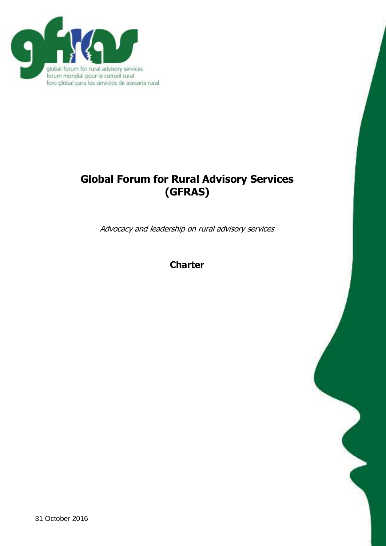

# **Global Forum for Rural Advisory Services (GFRAS)**

Advocacy and leadership on rural advisory services

**Charter**

31 October 2016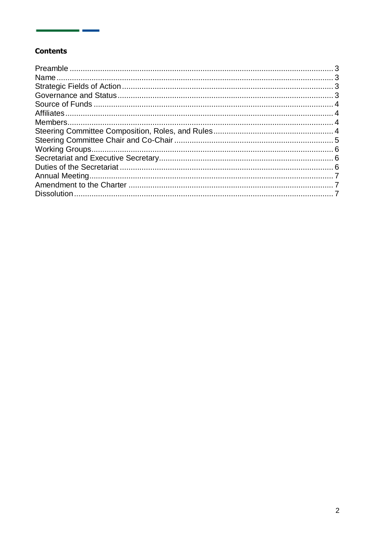## **Contents**

an I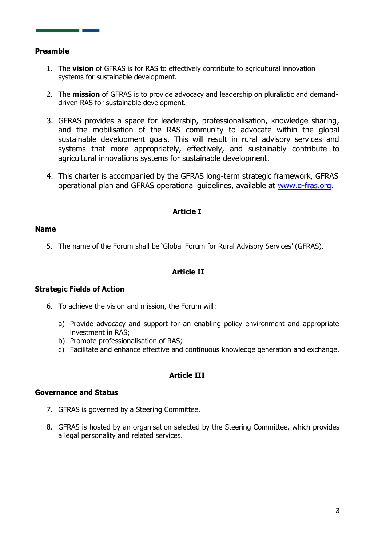## <span id="page-2-0"></span>**Preamble**

- 1. The **vision** of GFRAS is for RAS to effectively contribute to agricultural innovation systems for sustainable development.
- 2. The **mission** of GFRAS is to provide advocacy and leadership on pluralistic and demanddriven RAS for sustainable development.
- 3. GFRAS provides a space for leadership, professionalisation, knowledge sharing, and the mobilisation of the RAS community to advocate within the global sustainable development goals. This will result in rural advisory services and systems that more appropriately, effectively, and sustainably contribute to agricultural innovations systems for sustainable development.
- 4. This charter is accompanied by the GFRAS long-term strategic framework, GFRAS operational plan and GFRAS operational guidelines, available at [www.g-fras.org.](http://www.g-fras.org/)

## **Article I**

#### <span id="page-2-1"></span>**Name**

5. The name of the Forum shall be 'Global Forum for Rural Advisory Services' (GFRAS).

## **Article II**

## <span id="page-2-2"></span>**Strategic Fields of Action**

- 6. To achieve the vision and mission, the Forum will:
	- a) Provide advocacy and support for an enabling policy environment and appropriate investment in RAS;
	- b) Promote professionalisation of RAS;
	- c) Facilitate and enhance effective and continuous knowledge generation and exchange.

## **Article III**

#### <span id="page-2-3"></span>**Governance and Status**

- 7. GFRAS is governed by a Steering Committee.
- 8. GFRAS is hosted by an organisation selected by the Steering Committee, which provides a legal personality and related services.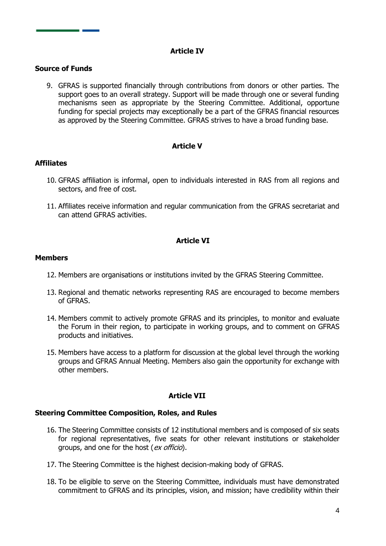## **Article IV**

## <span id="page-3-0"></span>**Source of Funds**

9. GFRAS is supported financially through contributions from donors or other parties. The support goes to an overall strategy. Support will be made through one or several funding mechanisms seen as appropriate by the Steering Committee. Additional, opportune funding for special projects may exceptionally be a part of the GFRAS financial resources as approved by the Steering Committee. GFRAS strives to have a broad funding base.

## **Article V**

## <span id="page-3-1"></span>**Affiliates**

- 10. GFRAS affiliation is informal, open to individuals interested in RAS from all regions and sectors, and free of cost.
- 11. Affiliates receive information and regular communication from the GFRAS secretariat and can attend GFRAS activities.

## **Article VI**

#### <span id="page-3-2"></span>**Members**

- 12. Members are organisations or institutions invited by the GFRAS Steering Committee.
- 13. Regional and thematic networks representing RAS are encouraged to become members of GFRAS.
- 14. Members commit to actively promote GFRAS and its principles, to monitor and evaluate the Forum in their region, to participate in working groups, and to comment on GFRAS products and initiatives.
- 15. Members have access to a platform for discussion at the global level through the working groups and GFRAS Annual Meeting. Members also gain the opportunity for exchange with other members.

#### **Article VII**

#### <span id="page-3-3"></span>**Steering Committee Composition, Roles, and Rules**

- 16. The Steering Committee consists of 12 institutional members and is composed of six seats for regional representatives, five seats for other relevant institutions or stakeholder groups, and one for the host (ex officio).
- 17. The Steering Committee is the highest decision-making body of GFRAS.
- 18. To be eligible to serve on the Steering Committee, individuals must have demonstrated commitment to GFRAS and its principles, vision, and mission; have credibility within their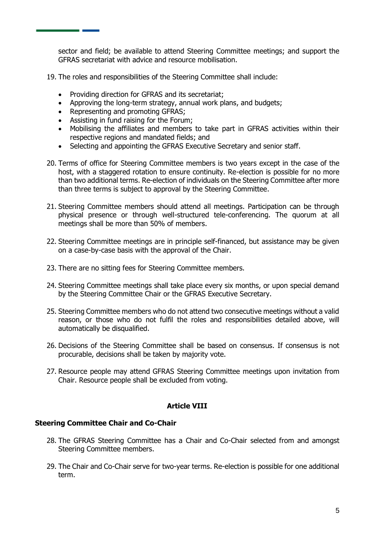sector and field; be available to attend Steering Committee meetings; and support the GFRAS secretariat with advice and resource mobilisation.

- 19. The roles and responsibilities of the Steering Committee shall include:
	- Providing direction for GFRAS and its secretariat;
	- Approving the long-term strategy, annual work plans, and budgets;
	- Representing and promoting GFRAS;
	- Assisting in fund raising for the Forum;
	- Mobilising the affiliates and members to take part in GFRAS activities within their respective regions and mandated fields; and
	- Selecting and appointing the GFRAS Executive Secretary and senior staff.
- 20. Terms of office for Steering Committee members is two years except in the case of the host, with a staggered rotation to ensure continuity. Re-election is possible for no more than two additional terms. Re-election of individuals on the Steering Committee after more than three terms is subject to approval by the Steering Committee.
- 21. Steering Committee members should attend all meetings. Participation can be through physical presence or through well-structured tele-conferencing. The quorum at all meetings shall be more than 50% of members.
- 22. Steering Committee meetings are in principle self-financed, but assistance may be given on a case-by-case basis with the approval of the Chair.
- 23. There are no sitting fees for Steering Committee members.
- 24. Steering Committee meetings shall take place every six months, or upon special demand by the Steering Committee Chair or the GFRAS Executive Secretary.
- 25. Steering Committee members who do not attend two consecutive meetings without a valid reason, or those who do not fulfil the roles and responsibilities detailed above, will automatically be disqualified.
- 26. Decisions of the Steering Committee shall be based on consensus. If consensus is not procurable, decisions shall be taken by majority vote.
- 27. Resource people may attend GFRAS Steering Committee meetings upon invitation from Chair. Resource people shall be excluded from voting.

#### **Article VIII**

#### <span id="page-4-0"></span>**Steering Committee Chair and Co-Chair**

- 28. The GFRAS Steering Committee has a Chair and Co-Chair selected from and amongst Steering Committee members.
- 29. The Chair and Co-Chair serve for two-year terms. Re-election is possible for one additional term.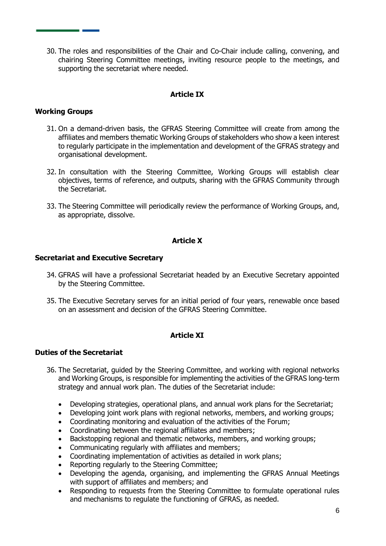30. The roles and responsibilities of the Chair and Co-Chair include calling, convening, and chairing Steering Committee meetings, inviting resource people to the meetings, and supporting the secretariat where needed.

## **Article IX**

## <span id="page-5-0"></span>**Working Groups**

- 31. On a demand-driven basis, the GFRAS Steering Committee will create from among the affiliates and members thematic Working Groups of stakeholders who show a keen interest to regularly participate in the implementation and development of the GFRAS strategy and organisational development.
- 32. In consultation with the Steering Committee, Working Groups will establish clear objectives, terms of reference, and outputs, sharing with the GFRAS Community through the Secretariat.
- 33. The Steering Committee will periodically review the performance of Working Groups, and, as appropriate, dissolve.

## **Article X**

#### <span id="page-5-1"></span>**Secretariat and Executive Secretary**

- 34. GFRAS will have a professional Secretariat headed by an Executive Secretary appointed by the Steering Committee.
- 35. The Executive Secretary serves for an initial period of four years, renewable once based on an assessment and decision of the GFRAS Steering Committee.

## **Article XI**

#### <span id="page-5-2"></span>**Duties of the Secretariat**

- 36. The Secretariat, guided by the Steering Committee, and working with regional networks and Working Groups, is responsible for implementing the activities of the GFRAS long-term strategy and annual work plan. The duties of the Secretariat include:
	- Developing strategies, operational plans, and annual work plans for the Secretariat;
	- Developing joint work plans with regional networks, members, and working groups;
	- Coordinating monitoring and evaluation of the activities of the Forum;
	- Coordinating between the regional affiliates and members;
	- Backstopping regional and thematic networks, members, and working groups;
	- Communicating regularly with affiliates and members;
	- Coordinating implementation of activities as detailed in work plans;
	- Reporting regularly to the Steering Committee;
	- Developing the agenda, organising, and implementing the GFRAS Annual Meetings with support of affiliates and members; and
	- Responding to requests from the Steering Committee to formulate operational rules and mechanisms to regulate the functioning of GFRAS, as needed.